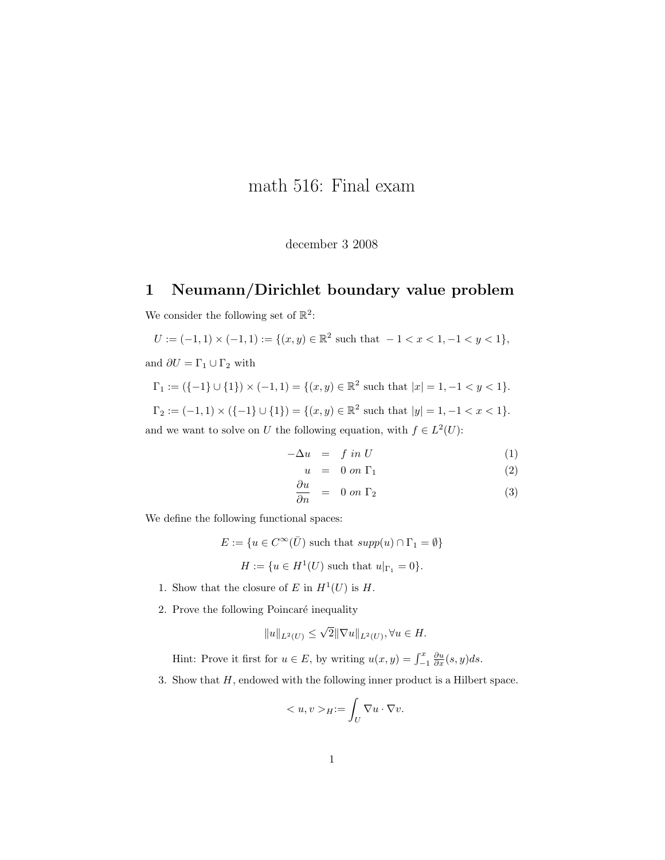## math 516: Final exam

december 3 2008

## 1 Neumann/Dirichlet boundary value problem

We consider the following set of  $\mathbb{R}^2$ :

$$
U:=(-1,1)\times(-1,1):=\{(x,y)\in\mathbb{R}^2\text{ such that }-1 and  $\partial U=\Gamma_1\cup\Gamma_2$  with
$$

$$
\Gamma_1 := (\{-1\} \cup \{1\}) \times (-1,1) = \{(x,y) \in \mathbb{R}^2 \text{ such that } |x| = 1, -1 < y < 1\}.
$$

 $\Gamma_2 := (-1,1) \times (\{-1\} \cup \{1\}) = \{(x,y) \in \mathbb{R}^2 \text{ such that } |y|=1, -1 < x < 1\}.$ 

and we want to solve on U the following equation, with  $f \in L^2(U)$ :

$$
-\Delta u = f \text{ in } U \tag{1}
$$

$$
u = 0 \text{ on } \Gamma_1 \tag{2}
$$

$$
\frac{\partial u}{\partial n} = 0 \text{ on } \Gamma_2 \tag{3}
$$

We define the following functional spaces:

$$
E := \{ u \in C^{\infty}(\overline{U}) \text{ such that } supp(u) \cap \Gamma_1 = \emptyset \}
$$
  

$$
H := \{ u \in H^1(U) \text{ such that } u|_{\Gamma_1} = 0 \}.
$$

- 1. Show that the closure of E in  $H^1(U)$  is H.
- 2. Prove the following Poincaré inequality

$$
||u||_{L^{2}(U)} \leq \sqrt{2}||\nabla u||_{L^{2}(U)}, \forall u \in H.
$$

Hint: Prove it first for  $u \in E$ , by writing  $u(x, y) = \int_{-1}^{x} \frac{\partial u}{\partial x}(s, y) ds$ .

3. Show that  $H$ , endowed with the following inner product is a Hilbert space.

$$
\langle u, v \rangle_H := \int_U \nabla u \cdot \nabla v.
$$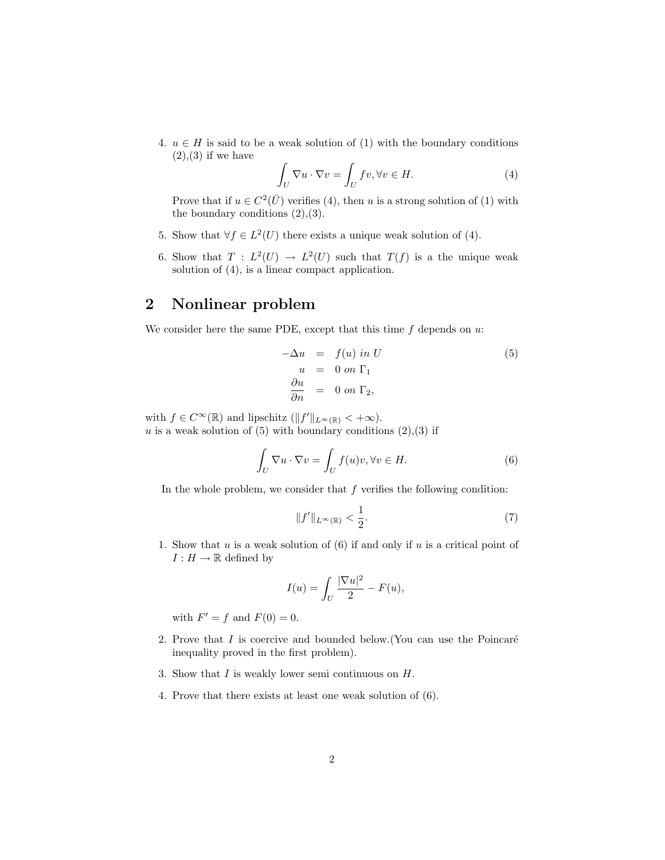4.  $u \in H$  is said to be a weak solution of (1) with the boundary conditions  $(2),(3)$  if we have

$$
\int_{U} \nabla u \cdot \nabla v = \int_{U} fv, \forall v \in H. \tag{4}
$$

Prove that if  $u \in C^2(\overline{U})$  verifies (4), then u is a strong solution of (1) with the boundary conditions  $(2),(3)$ .

- 5. Show that  $\forall f \in L^2(U)$  there exists a unique weak solution of (4).
- 6. Show that  $T : L^2(U) \to L^2(U)$  such that  $T(f)$  is a the unique weak solution of (4), is a linear compact application.

## 2 Nonlinear problem

We consider here the same PDE, except that this time  $f$  depends on  $u$ :

$$
-\Delta u = f(u) in U
$$
  
\n
$$
u = 0 on \Gamma_1
$$
  
\n
$$
\frac{\partial u}{\partial n} = 0 on \Gamma_2,
$$
\n(5)

with  $f \in C^{\infty}(\mathbb{R})$  and lipschitz  $(\|f'\|_{L^{\infty}(\mathbb{R})} < +\infty)$ . u is a weak solution of (5) with boundary conditions  $(2),(3)$  if

$$
\int_{U} \nabla u \cdot \nabla v = \int_{U} f(u)v, \forall v \in H.
$$
\n(6)

In the whole problem, we consider that  $f$  verifies the following condition:

$$
||f'||_{L^{\infty}(\mathbb{R})} < \frac{1}{2}.
$$
\n
$$
(7)
$$

1. Show that u is a weak solution of  $(6)$  if and only if u is a critical point of  $I: H \to \mathbb{R}$  defined by

$$
I(u) = \int_U \frac{|\nabla u|^2}{2} - F(u),
$$

with  $F' = f$  and  $F(0) = 0$ .

- 2. Prove that  $I$  is coercive and bounded below. (You can use the Poincaré inequality proved in the first problem).
- 3. Show that  $I$  is weakly lower semi continuous on  $H$ .
- 4. Prove that there exists at least one weak solution of (6).